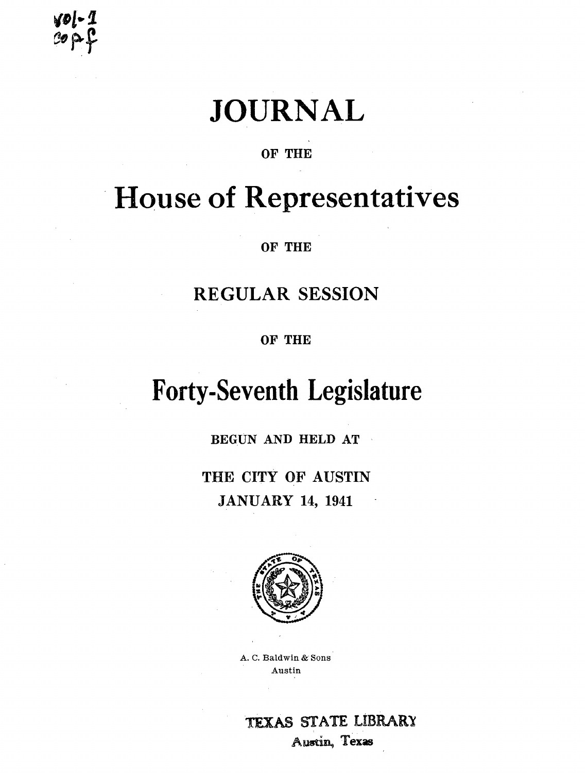# **JOURNAL**

### OF THE

## **House of Representatives**

OF THE

### **REGULAR SESSION**

OF THE

## **Forty-Seventh Legislature**

BEGUN AND HELD AT  $\sim$ 

THE CITY OF AUSTIN **JANUARY 14, 1941** 



A. C. Baldwin & Sons Austin

**TEXAS STATE LIBRARY** Austin, Texas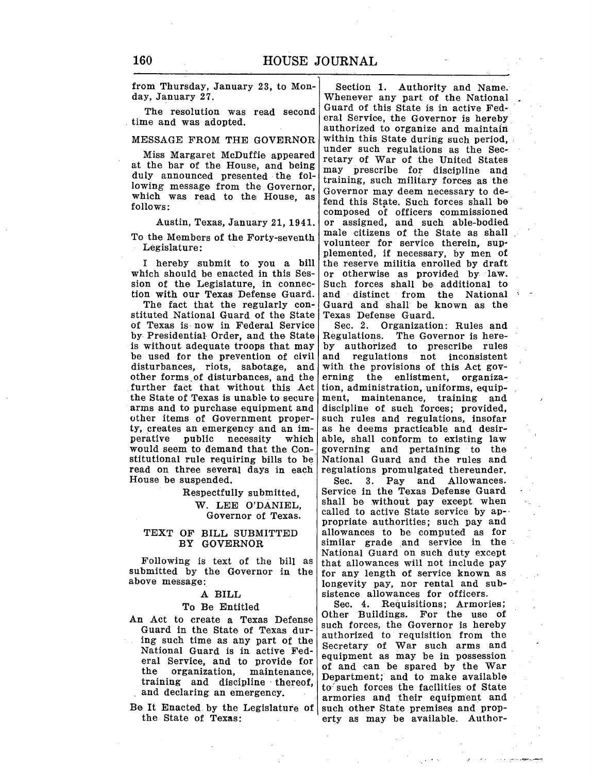from Thursday, January 23, to Mon-<br>day, January 27.<br>Whenever any part of the National

Miss Margaret McDuffie appeared retary of War of the United States at the bar of the House, and being  $\begin{bmatrix} \text{max} \\ \text{max} \end{bmatrix}$  for War of the United States. duly announced presented the fol- training, such military forces as the lowing message from the Governor, career as the contract of  $\alpha$ lowing message from the Governor, Governor may deem necessary to de-<br>which was read to the House, as  $\int_{\epsilon_0}^{\epsilon_0} G(t) dt$  for  $\int_{\epsilon_0}^{\epsilon_0} G(t) dt$  for each that which was read to the House, as  $\left| \begin{array}{c} \text{fend this State. Such forces shall be} \end{array} \right|$ 

which should be enacted in this Ses- or otherwise as provided by law.<br>sion of the Legislature, in connec- Such forces shall be additional to sion of the Legislature, in connec- Such forces shall be additional to tion with our Texas Defense Guard. and distinct from the National

stituted National Guard of the State Texas Defense Guard.<br>
of Texas is now in Federal Service Sec. 2. Organization: Rules and of Texas is now in Federal Service Sec. 2. Organization: Rules and by Presidential Order, and the State Regulations. The Governor is hereby Presidential-Order, and the State is without adequate troops that may be used for the prevention of civil and regulations not inconsistent disturbances, riots, sabotage, and with the provisions of this Act govdisturbances, riots, sabotage, and with the provisions of this Act gov-<br>other forms of disturbances, and the erning the enlistment, organizaother forms of disturbances, and the erning the enlistment, organiza-<br>further fact that without this Act tion, administration, uniforms, equipfurther fact that without this .Act the State of Texas is unable to secure the State of Texas is unable to secure ment, maintenance, training and arms and to purchase equipment and discipline of such forces: provided. other items of Government proper-<br>ty, creates an emergency and an imperative public necessity which able, shall conform to existing law<br>would seem to demand that the Con-<br>governing and pertaining to the would seem to demand that the Con- governing and pertaining to the stitutional rule requiring bills to be National Guard and the rules and read on three several days in each House be suspended.

#### TEXT OF BILL SUBMITTED BY GOVERNOR

Following is text of the bill as submitted by the Governor in the above message:

A BILL

#### To Be Entitled

- An Act to create a Texas Defense Guard in the State of Texas during such time as any part of the National Guard is in active Federal Service, and to provide for the organization, maintenance, training and discipline thereof, and declaring an emergency,
- Be It Enacted by the Legislature of the State of Texas:

Whenever any part of the National Guard of this State is in active Fed-The resolution was read second Guard of this State is in active Fed-<br>time and was adopted.<br>MESSAGE FROM THE GOVERNOR within this State during such period. within this State during such period, under such regulations as the Secmay prescribe for discipline and composed of officers commissioned Austin, Texas, January 21, 1941. or assigned, and such able-bodied<br>as Mambaus of the Fautre spenth male citizens of the State as shall To the Members of the Forty-seventh  $\vert$  male ditizens of the State as shall<br>volunteer for service therein, sup-Legislature:<br>I hereby submit to you a bill the reserve militia enrolled by draft I hereby submit to you a bill the reserve militia enrolled by draft which should be enacted in this Ses- or otherwise as provided by law. In with our Texas Defense Guard. and distinct from the National The fact that the regularly con- Guard and shall be known as the Guard and shall be known as the Texas Defense Guard.

> by authorized to prescribe rules<br>and regulations not inconsistent discipline of such forces; provided, such rules and regulations, insofar as he deems practicable and desir-National Guard and the rules and<br>regulations promulgated the reunder.

Sec. 3. Pay and Allowances. Respectfully submitted, Service in the Texas Defense Guard W. LEE O'DANIEL, shall be without pay except when  $\alpha$  called to active State service by ap-Governor of Texas. called to active State service by ap-<br>propriate authorities; such pay and allowances to be computed as for similar grade and service in the National Guard on such duty except that allowances will not include pay for any length of service known as longevity pay, nor rental and subsistence allowances for officers.

> Sec. 4. Requisitions; Armories; Other Buildings. For the use of such forces, the Governor is hereby authorized to requisition from the Secretary of War such arms and equipment as may be in possession of and can be spared by the War Department; and to make available to such forces the facilities of State armories and their equipment and such other State premises and property as may be available. Author-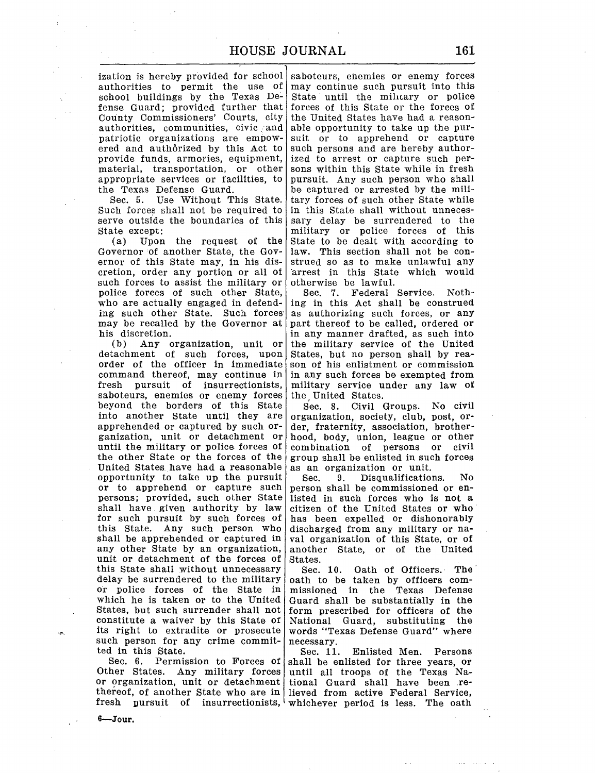ization is hereby provided for school authorities to permit the use of school buildings by the Texas Defense Guard; provided further that County Commissioners' Courts, city authorities, communities, civic and patriotic organizations are empowered and authorized by this Act to provide funds, armories, equipment, material, transportation, or other appropriate services or facilities, to the Texas Defense Guard.

Sec. 5. Use Without This State. Such forces shall not be required to serve outside the boundaries of this State except:

(a) Upon the request of the Governor of another State, the Governor of this State may, in his discretion, order any portion or all of such forces to assist the military or police forces of such other State, who are actually engaged in defending such other State. Such forces· may be recalled by the Governor at his discretion.<br>(b) Any of

Any organization, unit or detachment of such forces, upon order of the officer in immediate command thereof, may continue in fresh pursuit of insurrectionists, saboteurs, enemies or enemy forces beyond the borders of this State into another State until they are apprehended or captured by such organization, unit or detachment or until the military or police forces of the other State or the forces of the United States. have had a reasonable opportunity to take up the pursuit or to apprehend or capture such persons; provided, such other State shall have. given authority by law for such pursuit by such forces of this State. Any such person who shall be apprehended or captured in any other State by an organization, unit or detachment of the forces of this State shall without unnecessary delay be surrendered to the military or police forces of the State in which he is taken or to the United States, but such surrender shall not constitute a waiver by this State of its right to extradite or prosecute such person for any crime committed in this State.

Other States. Any military forces until all troops of the Texas Naor organization, unit or detachment thereof, of another State who are in lieved from active Federal Service,

saboteurs, enemies or enemy forces may continue such pursuit into this State until the military or police forces of this State or the forces of the United States have had a reasonable opportunity to take up the pursuit or to apprehend or capture such persons and are hereby authorized to arrest or capture such persons within this State while in fresh pursuit. Any such person who shall be captured or arrested by the military forces of such other State while in this State shall without unnecessary delay be surrendered to the military or police forces of this State to be dealt with according to law. This section shall not be construed so as to make unlawful anY arrest in this State which would otherwise be lawful.

Sec. 7. Federal Service. Nothing in this Act shall be construed as authorizing such forces, or any part thereof to be called, ordered or in any manner drafted, as such into the military service of the United States, but no person shall by reason of his enlistment or commission in any such forces be exempted from military service under any law of the. United States.

Sec. 8. Civil Groups. No civil organization, society, club, post, order, fraternity, association, brotherhood, body, union, league or other combination of persons or civil group shall be enlisted in such forces as an organization or unit.

Sec. 9. Disqualifications. No person shall be commissioned or enlisted in such forces who is not a citizen of the United States or who has been expelled or dishonorably discharged from any military or naval organization of this State, or of another State, or of the United States.

Sec. 10. Oath of Officers. The oath to be taken by officers commissioned in the Texas Defense Guard shall be substantially in the form prescribed for officers of the National Guard, substituting the words "Texas Defense Guard" where necessary.

Sec. 6. Permission to Forces of shall be enlisted for three years, or fresh pursuit of insurrectionists, whichever period is less. The oath Sec. 11. Enlisted Men. Persons tional Guard shall have been re-

 $6 - J$ our.